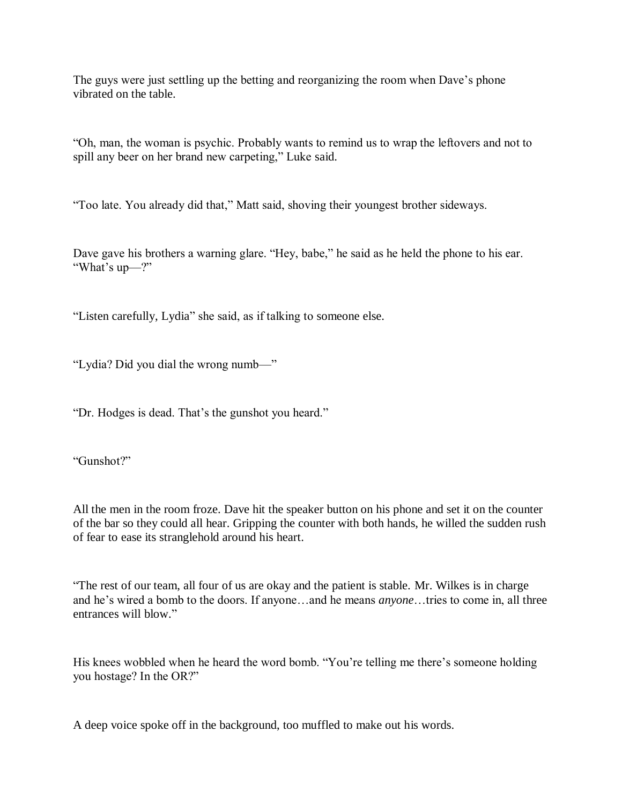The guys were just settling up the betting and reorganizing the room when Dave's phone vibrated on the table.

"Oh, man, the woman is psychic. Probably wants to remind us to wrap the leftovers and not to spill any beer on her brand new carpeting," Luke said.

"Too late. You already did that," Matt said, shoving their youngest brother sideways.

Dave gave his brothers a warning glare. "Hey, babe," he said as he held the phone to his ear. "What's up—?"

"Listen carefully, Lydia" she said, as if talking to someone else.

"Lydia? Did you dial the wrong numb—"

"Dr. Hodges is dead. That's the gunshot you heard."

"Gunshot?"

All the men in the room froze. Dave hit the speaker button on his phone and set it on the counter of the bar so they could all hear. Gripping the counter with both hands, he willed the sudden rush of fear to ease its stranglehold around his heart.

"The rest of our team, all four of us are okay and the patient is stable. Mr. Wilkes is in charge and he's wired a bomb to the doors. If anyone…and he means *anyone*…tries to come in, all three entrances will blow."

His knees wobbled when he heard the word bomb. "You're telling me there's someone holding you hostage? In the OR?"

A deep voice spoke off in the background, too muffled to make out his words.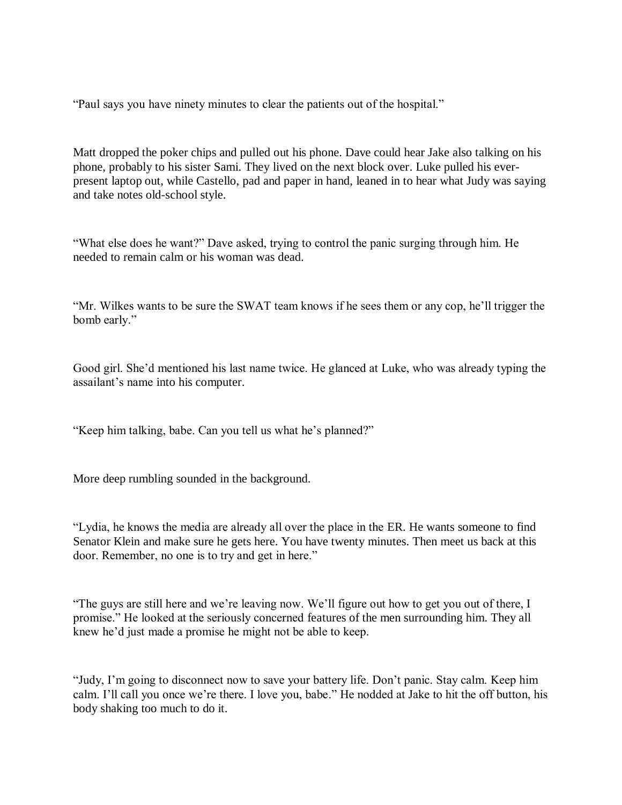"Paul says you have ninety minutes to clear the patients out of the hospital."

Matt dropped the poker chips and pulled out his phone. Dave could hear Jake also talking on his phone, probably to his sister Sami. They lived on the next block over. Luke pulled his everpresent laptop out, while Castello, pad and paper in hand, leaned in to hear what Judy was saying and take notes old-school style.

"What else does he want?" Dave asked, trying to control the panic surging through him. He needed to remain calm or his woman was dead.

"Mr. Wilkes wants to be sure the SWAT team knows if he sees them or any cop, he'll trigger the bomb early."

Good girl. She'd mentioned his last name twice. He glanced at Luke, who was already typing the assailant's name into his computer.

"Keep him talking, babe. Can you tell us what he's planned?"

More deep rumbling sounded in the background.

"Lydia, he knows the media are already all over the place in the ER. He wants someone to find Senator Klein and make sure he gets here. You have twenty minutes. Then meet us back at this door. Remember, no one is to try and get in here."

"The guys are still here and we're leaving now. We'll figure out how to get you out of there, I promise." He looked at the seriously concerned features of the men surrounding him. They all knew he'd just made a promise he might not be able to keep.

"Judy, I'm going to disconnect now to save your battery life. Don't panic. Stay calm. Keep him calm. I'll call you once we're there. I love you, babe." He nodded at Jake to hit the off button, his body shaking too much to do it.